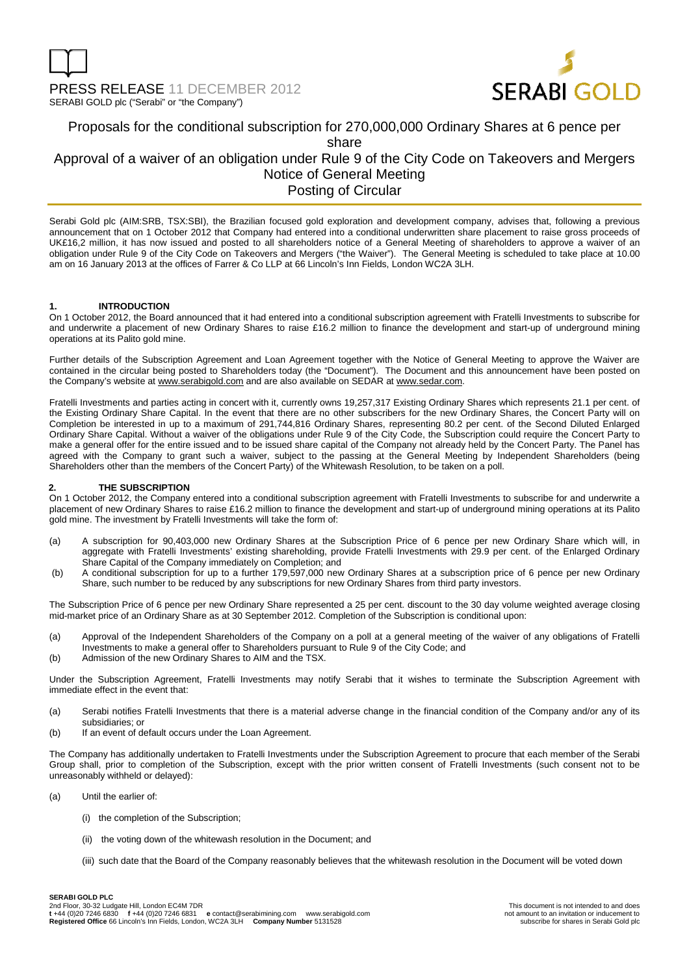

### Proposals for the conditional subscription for 270,000,000 Ordinary Shares at 6 pence per share Approval of a waiver of an obligation under Rule 9 of the City Code on Takeovers and Mergers Notice of General Meeting Posting of Circular

Serabi Gold plc (AIM:SRB, TSX:SBI), the Brazilian focused gold exploration and development company, advises that, following a previous announcement that on 1 October 2012 that Company had entered into a conditional underwritten share placement to raise gross proceeds of UK£16,2 million, it has now issued and posted to all shareholders notice of a General Meeting of shareholders to approve a waiver of an obligation under Rule 9 of the City Code on Takeovers and Mergers ("the Waiver"). The General Meeting is scheduled to take place at 10.00 am on 16 January 2013 at the offices of Farrer & Co LLP at 66 Lincoln's Inn Fields, London WC2A 3LH.

#### **1. INTRODUCTION**

On 1 October 2012, the Board announced that it had entered into a conditional subscription agreement with Fratelli Investments to subscribe for and underwrite a placement of new Ordinary Shares to raise £16.2 million to finance the development and start-up of underground mining operations at its Palito gold mine.

Further details of the Subscription Agreement and Loan Agreement together with the Notice of General Meeting to approve the Waiver are contained in the circular being posted to Shareholders today (the "Document"). The Document and this announcement have been posted on the Company's website at www.serabigold.com and are also available on SEDAR at www.sedar.com.

Fratelli Investments and parties acting in concert with it, currently owns 19,257,317 Existing Ordinary Shares which represents 21.1 per cent. of the Existing Ordinary Share Capital. In the event that there are no other subscribers for the new Ordinary Shares, the Concert Party will on Completion be interested in up to a maximum of 291,744,816 Ordinary Shares, representing 80.2 per cent. of the Second Diluted Enlarged Ordinary Share Capital. Without a waiver of the obligations under Rule 9 of the City Code, the Subscription could require the Concert Party to make a general offer for the entire issued and to be issued share capital of the Company not already held by the Concert Party. The Panel has agreed with the Company to grant such a waiver, subject to the passing at the General Meeting by Independent Shareholders (being Shareholders other than the members of the Concert Party) of the Whitewash Resolution, to be taken on a poll.

#### **2. THE SUBSCRIPTION**

On 1 October 2012, the Company entered into a conditional subscription agreement with Fratelli Investments to subscribe for and underwrite a placement of new Ordinary Shares to raise £16.2 million to finance the development and start-up of underground mining operations at its Palito gold mine. The investment by Fratelli Investments will take the form of:

- (a) A subscription for 90,403,000 new Ordinary Shares at the Subscription Price of 6 pence per new Ordinary Share which will, in aggregate with Fratelli Investments' existing shareholding, provide Fratelli Investments with 29.9 per cent. of the Enlarged Ordinary Share Capital of the Company immediately on Completion; and
- (b) A conditional subscription for up to a further 179,597,000 new Ordinary Shares at a subscription price of 6 pence per new Ordinary Share, such number to be reduced by any subscriptions for new Ordinary Shares from third party investors.

The Subscription Price of 6 pence per new Ordinary Share represented a 25 per cent. discount to the 30 day volume weighted average closing mid-market price of an Ordinary Share as at 30 September 2012. Completion of the Subscription is conditional upon:

- (a) Approval of the Independent Shareholders of the Company on a poll at a general meeting of the waiver of any obligations of Fratelli Investments to make a general offer to Shareholders pursuant to Rule 9 of the City Code; and
- (b) Admission of the new Ordinary Shares to AIM and the TSX.

Under the Subscription Agreement, Fratelli Investments may notify Serabi that it wishes to terminate the Subscription Agreement with immediate effect in the event that:

- (a) Serabi notifies Fratelli Investments that there is a material adverse change in the financial condition of the Company and/or any of its subsidiaries; or
- (b) If an event of default occurs under the Loan Agreement.

The Company has additionally undertaken to Fratelli Investments under the Subscription Agreement to procure that each member of the Serabi Group shall, prior to completion of the Subscription, except with the prior written consent of Fratelli Investments (such consent not to be unreasonably withheld or delayed):

- (a) Until the earlier of:
	- (i) the completion of the Subscription;
	- (ii) the voting down of the whitewash resolution in the Document; and
	- (iii) such date that the Board of the Company reasonably believes that the whitewash resolution in the Document will be voted down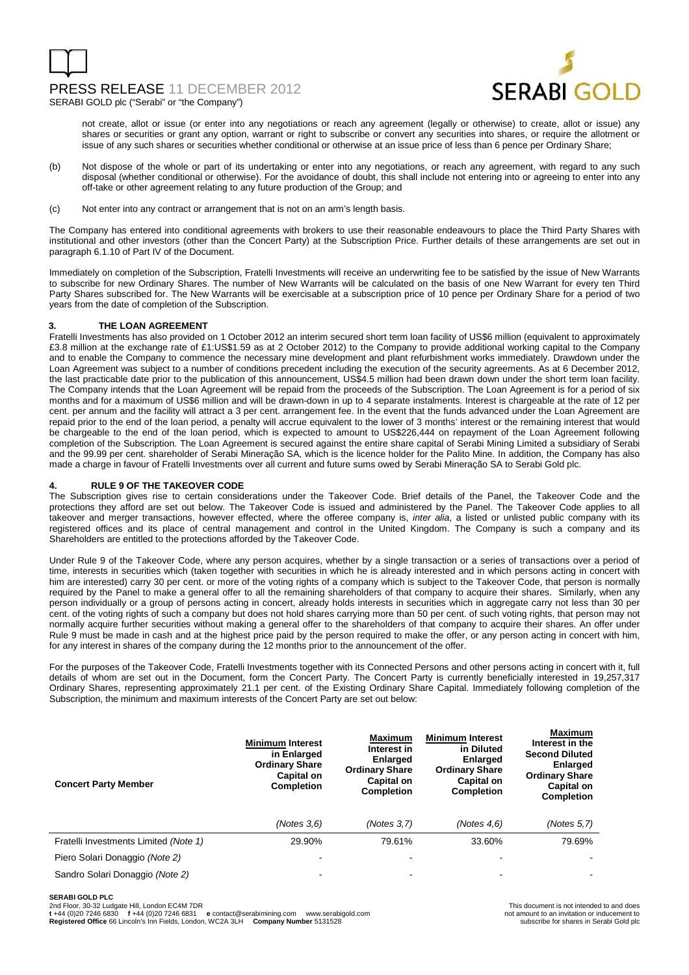## PRESS RELEASE 11 DECEMBER 2012



SERABI GOLD plc ("Serabi" or "the Company")

not create, allot or issue (or enter into any negotiations or reach any agreement (legally or otherwise) to create, allot or issue) any shares or securities or grant any option, warrant or right to subscribe or convert any securities into shares, or require the allotment or issue of any such shares or securities whether conditional or otherwise at an issue price of less than 6 pence per Ordinary Share;

- (b) Not dispose of the whole or part of its undertaking or enter into any negotiations, or reach any agreement, with regard to any such disposal (whether conditional or otherwise). For the avoidance of doubt, this shall include not entering into or agreeing to enter into any off-take or other agreement relating to any future production of the Group; and
- (c) Not enter into any contract or arrangement that is not on an arm's length basis.

The Company has entered into conditional agreements with brokers to use their reasonable endeavours to place the Third Party Shares with institutional and other investors (other than the Concert Party) at the Subscription Price. Further details of these arrangements are set out in paragraph 6.1.10 of Part IV of the Document.

Immediately on completion of the Subscription, Fratelli Investments will receive an underwriting fee to be satisfied by the issue of New Warrants to subscribe for new Ordinary Shares. The number of New Warrants will be calculated on the basis of one New Warrant for every ten Third Party Shares subscribed for. The New Warrants will be exercisable at a subscription price of 10 pence per Ordinary Share for a period of two years from the date of completion of the Subscription.

#### **3. THE LOAN AGREEMENT**

Fratelli Investments has also provided on 1 October 2012 an interim secured short term loan facility of US\$6 million (equivalent to approximately £3.8 million at the exchange rate of £1:US\$1.59 as at 2 October 2012) to the Company to provide additional working capital to the Company and to enable the Company to commence the necessary mine development and plant refurbishment works immediately. Drawdown under the Loan Agreement was subject to a number of conditions precedent including the execution of the security agreements. As at 6 December 2012, the last practicable date prior to the publication of this announcement, US\$4.5 million had been drawn down under the short term loan facility. The Company intends that the Loan Agreement will be repaid from the proceeds of the Subscription. The Loan Agreement is for a period of six months and for a maximum of US\$6 million and will be drawn-down in up to 4 separate instalments. Interest is chargeable at the rate of 12 per cent. per annum and the facility will attract a 3 per cent. arrangement fee. In the event that the funds advanced under the Loan Agreement are repaid prior to the end of the loan period, a penalty will accrue equivalent to the lower of 3 months' interest or the remaining interest that would be chargeable to the end of the loan period, which is expected to amount to US\$226,444 on repayment of the Loan Agreement following completion of the Subscription. The Loan Agreement is secured against the entire share capital of Serabi Mining Limited a subsidiary of Serabi and the 99.99 per cent. shareholder of Serabi Mineração SA, which is the licence holder for the Palito Mine. In addition, the Company has also made a charge in favour of Fratelli Investments over all current and future sums owed by Serabi Mineração SA to Serabi Gold plc.

#### **4. RULE 9 OF THE TAKEOVER CODE**

The Subscription gives rise to certain considerations under the Takeover Code. Brief details of the Panel, the Takeover Code and the protections they afford are set out below. The Takeover Code is issued and administered by the Panel. The Takeover Code applies to all takeover and merger transactions, however effected, where the offeree company is, *inter alia*, a listed or unlisted public company with its registered offices and its place of central management and control in the United Kingdom. The Company is such a company and its Shareholders are entitled to the protections afforded by the Takeover Code.

Under Rule 9 of the Takeover Code, where any person acquires, whether by a single transaction or a series of transactions over a period of time, interests in securities which (taken together with securities in which he is already interested and in which persons acting in concert with him are interested) carry 30 per cent. or more of the voting rights of a company which is subject to the Takeover Code, that person is normally required by the Panel to make a general offer to all the remaining shareholders of that company to acquire their shares. Similarly, when any person individually or a group of persons acting in concert, already holds interests in securities which in aggregate carry not less than 30 per cent. of the voting rights of such a company but does not hold shares carrying more than 50 per cent. of such voting rights, that person may not normally acquire further securities without making a general offer to the shareholders of that company to acquire their shares. An offer under Rule 9 must be made in cash and at the highest price paid by the person required to make the offer, or any person acting in concert with him, for any interest in shares of the company during the 12 months prior to the announcement of the offer.

For the purposes of the Takeover Code, Fratelli Investments together with its Connected Persons and other persons acting in concert with it, full details of whom are set out in the Document, form the Concert Party. The Concert Party is currently beneficially interested in 19,257,317 Ordinary Shares, representing approximately 21.1 per cent. of the Existing Ordinary Share Capital. Immediately following completion of the Subscription, the minimum and maximum interests of the Concert Party are set out below:

| <b>Concert Party Member</b>           | <b>Minimum Interest</b><br>in Enlarged<br><b>Ordinary Share</b><br>Capital on<br><b>Completion</b> | <b>Maximum</b><br>Interest in<br><b>Enlarged</b><br><b>Ordinary Share</b><br>Capital on<br><b>Completion</b> | <b>Minimum Interest</b><br>in Diluted<br><b>Enlarged</b><br><b>Ordinary Share</b><br>Capital on<br><b>Completion</b> | <b>Maximum</b><br>Interest in the<br><b>Second Diluted</b><br>Enlarged<br><b>Ordinary Share</b><br>Capital on<br><b>Completion</b> |
|---------------------------------------|----------------------------------------------------------------------------------------------------|--------------------------------------------------------------------------------------------------------------|----------------------------------------------------------------------------------------------------------------------|------------------------------------------------------------------------------------------------------------------------------------|
|                                       | (Notes 3.6)                                                                                        | (Notes 3, 7)                                                                                                 | (Notes $4.6$ )                                                                                                       | (Notes 5.7)                                                                                                                        |
| Fratelli Investments Limited (Note 1) | 29.90%                                                                                             | 79.61%                                                                                                       | 33.60%                                                                                                               | 79.69%                                                                                                                             |
| Piero Solari Donaggio (Note 2)        |                                                                                                    |                                                                                                              | -                                                                                                                    |                                                                                                                                    |
| Sandro Solari Donaggio (Note 2)       |                                                                                                    |                                                                                                              | ۰                                                                                                                    |                                                                                                                                    |

**SERABI GOLD PLC** 

2nd Floor, 30-32 Ludgate Hill, London EC4M 7DR<br>t +44 (0)20 7246 6830 f +44 (0)20 7246 6831 e contact@serabimining.com www.serabigold.com not amount to an invitation or inducement to

**Registered Office** 66 Lincoln's Inn Fields, London, WC2A 3LH **Company Number** 5131528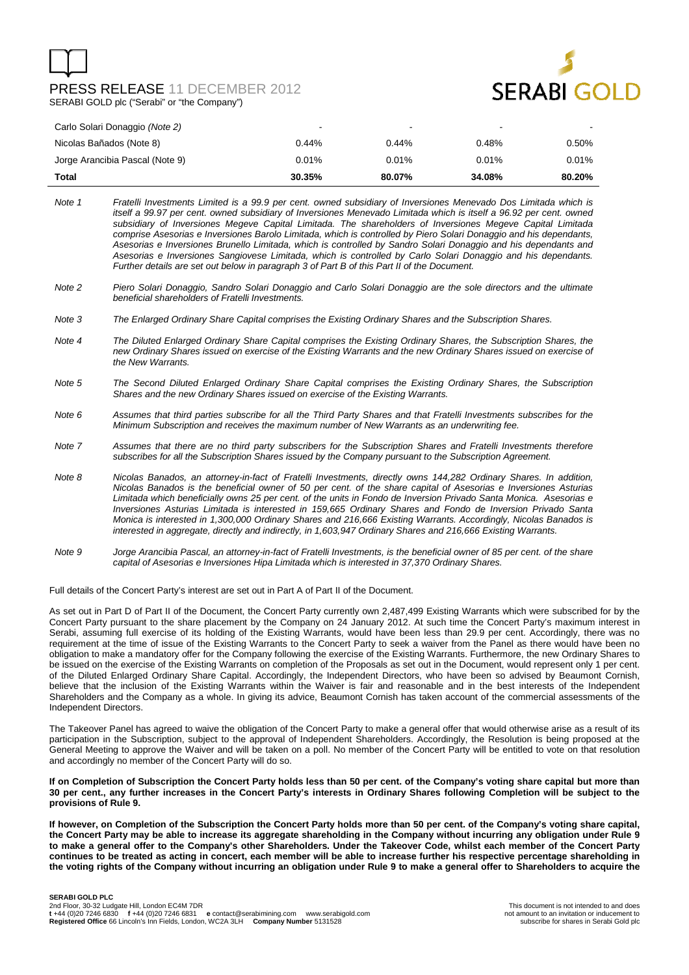## PRESS RELEASE 11 DECEMBER 2012 SERABI GOLD plc ("Serabi" or "the Company")



| Carlo Solari Donaggio (Note 2)  | $\overline{\phantom{a}}$ | -      | $\blacksquare$ |        |
|---------------------------------|--------------------------|--------|----------------|--------|
| Nicolas Bañados (Note 8)        | 0.44%                    | 0.44%  | 0.48%          | 0.50%  |
| Jorge Arancibia Pascal (Note 9) | 0.01%                    | 0.01%  | 0.01%          | 0.01%  |
| Total                           | 30.35%                   | 80.07% | 34.08%         | 80.20% |

- Note 1 Fratelli Investments Limited is a 99.9 per cent. owned subsidiary of Inversiones Menevado Dos Limitada which is itself a 99.97 per cent. owned subsidiary of Inversiones Menevado Limitada which is itself a 96.92 per cent. owned subsidiary of Inversiones Megeve Capital Limitada. The shareholders of Inversiones Megeve Capital Limitada comprise Asesorias e Inversiones Barolo Limitada, which is controlled by Piero Solari Donaggio and his dependants, Asesorias e Inversiones Brunello Limitada, which is controlled by Sandro Solari Donaggio and his dependants and Asesorias e Inversiones Sangiovese Limitada, which is controlled by Carlo Solari Donaggio and his dependants. Further details are set out below in paragraph 3 of Part B of this Part II of the Document.
- Note 2 Piero Solari Donaggio, Sandro Solari Donaggio and Carlo Solari Donaggio are the sole directors and the ultimate beneficial shareholders of Fratelli Investments.
- Note 3 The Enlarged Ordinary Share Capital comprises the Existing Ordinary Shares and the Subscription Shares.
- Note 4 The Diluted Enlarged Ordinary Share Capital comprises the Existing Ordinary Shares, the Subscription Shares, the new Ordinary Shares issued on exercise of the Existing Warrants and the new Ordinary Shares issued on exercise of the New Warrants.
- Note 5 The Second Diluted Enlarged Ordinary Share Capital comprises the Existing Ordinary Shares, the Subscription Shares and the new Ordinary Shares issued on exercise of the Existing Warrants.
- Note 6 Assumes that third parties subscribe for all the Third Party Shares and that Fratelli Investments subscribes for the Minimum Subscription and receives the maximum number of New Warrants as an underwriting fee.
- Note 7 Assumes that there are no third party subscribers for the Subscription Shares and Fratelli Investments therefore subscribes for all the Subscription Shares issued by the Company pursuant to the Subscription Agreement.
- Note 8 Nicolas Banados, an attorney-in-fact of Fratelli Investments, directly owns 144,282 Ordinary Shares. In addition, Nicolas Banados is the beneficial owner of 50 per cent. of the share capital of Asesorias e Inversiones Asturias Limitada which beneficially owns 25 per cent. of the units in Fondo de Inversion Privado Santa Monica. Asesorias e Inversiones Asturias Limitada is interested in 159,665 Ordinary Shares and Fondo de Inversion Privado Santa Monica is interested in 1,300,000 Ordinary Shares and 216,666 Existing Warrants. Accordingly, Nicolas Banados is interested in aggregate, directly and indirectly, in 1,603,947 Ordinary Shares and 216,666 Existing Warrants.
- Note 9 Jorge Arancibia Pascal, an attorney-in-fact of Fratelli Investments, is the beneficial owner of 85 per cent. of the share capital of Asesorias e Inversiones Hipa Limitada which is interested in 37,370 Ordinary Shares.

Full details of the Concert Party's interest are set out in Part A of Part II of the Document.

As set out in Part D of Part II of the Document, the Concert Party currently own 2,487,499 Existing Warrants which were subscribed for by the Concert Party pursuant to the share placement by the Company on 24 January 2012. At such time the Concert Party's maximum interest in Serabi, assuming full exercise of its holding of the Existing Warrants, would have been less than 29.9 per cent. Accordingly, there was no requirement at the time of issue of the Existing Warrants to the Concert Party to seek a waiver from the Panel as there would have been no obligation to make a mandatory offer for the Company following the exercise of the Existing Warrants. Furthermore, the new Ordinary Shares to be issued on the exercise of the Existing Warrants on completion of the Proposals as set out in the Document, would represent only 1 per cent. of the Diluted Enlarged Ordinary Share Capital. Accordingly, the Independent Directors, who have been so advised by Beaumont Cornish, believe that the inclusion of the Existing Warrants within the Waiver is fair and reasonable and in the best interests of the Independent Shareholders and the Company as a whole. In giving its advice, Beaumont Cornish has taken account of the commercial assessments of the Independent Directors.

The Takeover Panel has agreed to waive the obligation of the Concert Party to make a general offer that would otherwise arise as a result of its participation in the Subscription, subject to the approval of Independent Shareholders. Accordingly, the Resolution is being proposed at the General Meeting to approve the Waiver and will be taken on a poll. No member of the Concert Party will be entitled to vote on that resolution and accordingly no member of the Concert Party will do so.

#### **If on Completion of Subscription the Concert Party holds less than 50 per cent. of the Company's voting share capital but more than 30 per cent., any further increases in the Concert Party's interests in Ordinary Shares following Completion will be subject to the provisions of Rule 9.**

**If however, on Completion of the Subscription the Concert Party holds more than 50 per cent. of the Company's voting share capital, the Concert Party may be able to increase its aggregate shareholding in the Company without incurring any obligation under Rule 9 to make a general offer to the Company's other Shareholders. Under the Takeover Code, whilst each member of the Concert Party continues to be treated as acting in concert, each member will be able to increase further his respective percentage shareholding in the voting rights of the Company without incurring an obligation under Rule 9 to make a general offer to Shareholders to acquire the**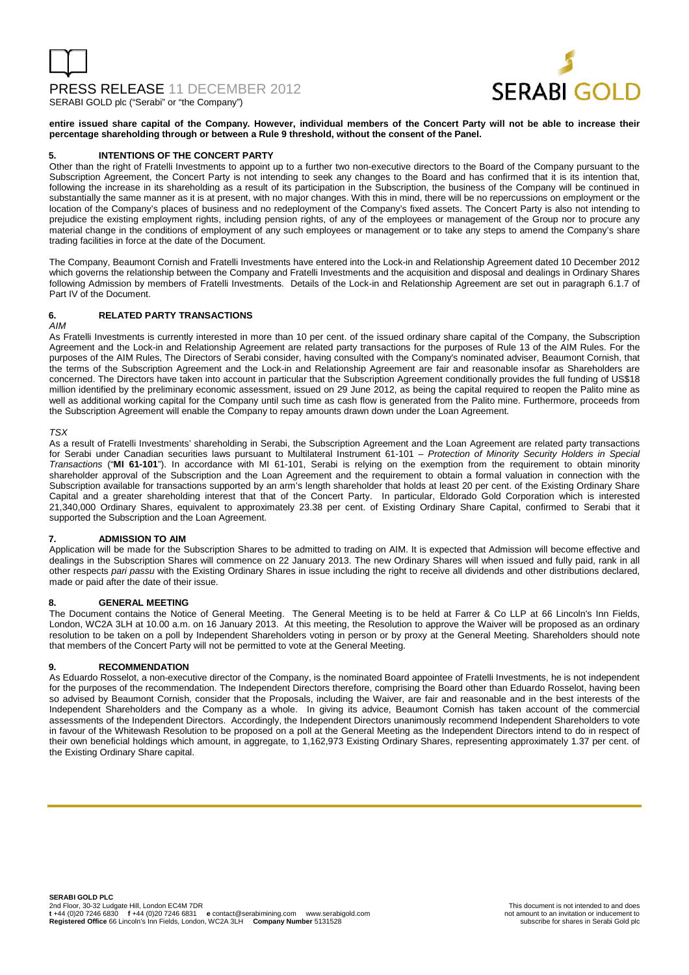# PRESS RELEASE 11 DECEMBER 2012



SERABI GOLD plc ("Serabi" or "the Company")

**entire issued share capital of the Company. However, individual members of the Concert Party will not be able to increase their percentage shareholding through or between a Rule 9 threshold, without the consent of the Panel.** 

#### **INTENTIONS OF THE CONCERT PARTY**

Other than the right of Fratelli Investments to appoint up to a further two non-executive directors to the Board of the Company pursuant to the Subscription Agreement, the Concert Party is not intending to seek any changes to the Board and has confirmed that it is its intention that, following the increase in its shareholding as a result of its participation in the Subscription, the business of the Company will be continued in substantially the same manner as it is at present, with no major changes. With this in mind, there will be no repercussions on employment or the location of the Company's places of business and no redeployment of the Company's fixed assets. The Concert Party is also not intending to prejudice the existing employment rights, including pension rights, of any of the employees or management of the Group nor to procure any material change in the conditions of employment of any such employees or management or to take any steps to amend the Company's share trading facilities in force at the date of the Document.

The Company, Beaumont Cornish and Fratelli Investments have entered into the Lock-in and Relationship Agreement dated 10 December 2012 which governs the relationship between the Company and Fratelli Investments and the acquisition and disposal and dealings in Ordinary Shares following Admission by members of Fratelli Investments. Details of the Lock-in and Relationship Agreement are set out in paragraph 6.1.7 of Part IV of the Document.

#### **6. RELATED PARTY TRANSACTIONS**

AIM

As Fratelli Investments is currently interested in more than 10 per cent. of the issued ordinary share capital of the Company, the Subscription Agreement and the Lock-in and Relationship Agreement are related party transactions for the purposes of Rule 13 of the AIM Rules. For the purposes of the AIM Rules, The Directors of Serabi consider, having consulted with the Company's nominated adviser, Beaumont Cornish, that the terms of the Subscription Agreement and the Lock-in and Relationship Agreement are fair and reasonable insofar as Shareholders are concerned. The Directors have taken into account in particular that the Subscription Agreement conditionally provides the full funding of US\$18 million identified by the preliminary economic assessment, issued on 29 June 2012, as being the capital required to reopen the Palito mine as well as additional working capital for the Company until such time as cash flow is generated from the Palito mine. Furthermore, proceeds from the Subscription Agreement will enable the Company to repay amounts drawn down under the Loan Agreement.

#### TSX

As a result of Fratelli Investments' shareholding in Serabi, the Subscription Agreement and the Loan Agreement are related party transactions for Serabi under Canadian securities laws pursuant to Multilateral Instrument 61-101 – Protection of Minority Security Holders in Special Transactions ("**MI 61-101**"). In accordance with MI 61-101, Serabi is relying on the exemption from the requirement to obtain minority shareholder approval of the Subscription and the Loan Agreement and the requirement to obtain a formal valuation in connection with the Subscription available for transactions supported by an arm's length shareholder that holds at least 20 per cent. of the Existing Ordinary Share Capital and a greater shareholding interest that that of the Concert Party. In particular, Eldorado Gold Corporation which is interested 21,340,000 Ordinary Shares, equivalent to approximately 23.38 per cent. of Existing Ordinary Share Capital, confirmed to Serabi that it supported the Subscription and the Loan Agreement.

#### **7. ADMISSION TO AIM**

Application will be made for the Subscription Shares to be admitted to trading on AIM. It is expected that Admission will become effective and dealings in the Subscription Shares will commence on 22 January 2013. The new Ordinary Shares will when issued and fully paid, rank in all other respects pari passu with the Existing Ordinary Shares in issue including the right to receive all dividends and other distributions declared, made or paid after the date of their issue.

#### **8. GENERAL MEETING**

The Document contains the Notice of General Meeting. The General Meeting is to be held at Farrer & Co LLP at 66 Lincoln's Inn Fields, London, WC2A 3LH at 10.00 a.m. on 16 January 2013. At this meeting, the Resolution to approve the Waiver will be proposed as an ordinary resolution to be taken on a poll by Independent Shareholders voting in person or by proxy at the General Meeting. Shareholders should note that members of the Concert Party will not be permitted to vote at the General Meeting.

#### **9. RECOMMENDATION**

As Eduardo Rosselot, a non-executive director of the Company, is the nominated Board appointee of Fratelli Investments, he is not independent for the purposes of the recommendation. The Independent Directors therefore, comprising the Board other than Eduardo Rosselot, having been so advised by Beaumont Cornish, consider that the Proposals, including the Waiver, are fair and reasonable and in the best interests of the Independent Shareholders and the Company as a whole. In giving its advice, Beaumont Cornish has taken account of the commercial assessments of the Independent Directors. Accordingly, the Independent Directors unanimously recommend Independent Shareholders to vote in favour of the Whitewash Resolution to be proposed on a poll at the General Meeting as the Independent Directors intend to do in respect of their own beneficial holdings which amount, in aggregate, to 1,162,973 Existing Ordinary Shares, representing approximately 1.37 per cent. of the Existing Ordinary Share capital.